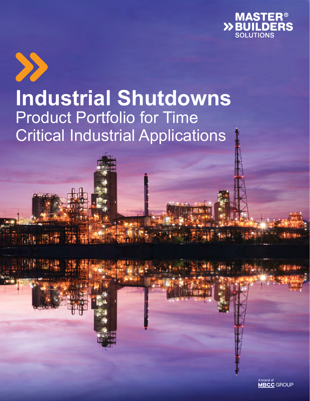



**ALL** 

**MARS** 

# **Industrial Shutdowns** Product Portfolio for Time Critical Industrial Applications

A brand of<br>**MBCC** GROUP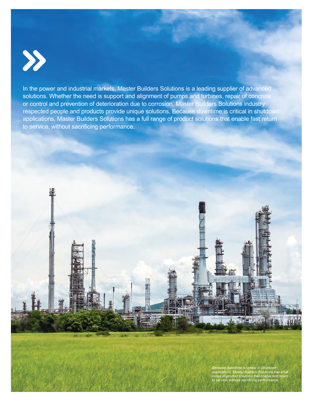

In the power and industrial markets, Master Builders Solutions is a leading supplier of advanced solutions. Whether the need is support and alignment of pumps and turbines, repair of concrete or control and prevention of deterioration due to corrosion, Master Builders Solutions industry respected people and products provide unique solutions. Because downtime is critical in shutdown applications, Master Builders Solutions has a full range of product solutions that enable fast return to service, without sacrificing performance.

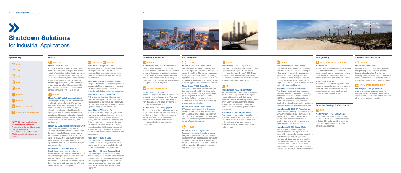# **Shutdown Solutions**

for Industrial Applications

## $\bigcap$  1 HR **2 HR 1**  $\bullet$  3 HR **6 HR 8 HR HOURS 24 HOURS 48 M** MORTAR DEPENDENT **A** APPLICATION DEPENDENT

#### MasterFlow® 4316 Grout

A unique grout that provides high early and ultimate compressive strengths over a wide variety of application and service temperatures. The superior performance of MasterFlow 4316 lies in its novel hydraulic cement binder with applied nanotechnology and premium mineral aggregates which, when mixed with water, produces a flowable and pumpable grout that can be installed in temperatures ranging from 35 to 100° F (2 to 38° C).

#### MasterFlow 885 Metallic Aggregate Grout This high precision grout with an extended working time is ideally suited for grouting machines and column supports. In harsh manufacturing environments, its high strength, density and malleable metallic aggregate provide superior dynamic load resistance. It tolerates wet environments, is sulfate-resistant and can be used in marine, wastewater, and sulfate-containing soil

environments.

#### MasterFlow 928 Extended Working Time Grout

With extended working time, this grout ensures sufficient time for placement. It can be placed from fluid to damp pack over a temperature range of 45°F to 90°F (7° to 32°C). It is ANSI/NSF approved for use with potable water, is suitable for exterior applications, and provides optimum strength and workability.

#### MasterFlow 713 High Precision Grout

Ready to use and mix to a variety of consistencies, this high precision non-shrink mineral aggregate grout is easily pumped into intricate and inaccessible areas. Masterfow 713 provides maximum effective bearing area for optimum load transfer and allows for early form stripping.

#### MasterFlow 648 High-Flow Grout

A three-component modified epoxy resinbased grout with variable fill rates. It combines high-temperature performance and crack resistance with excellent flow characteristics.

#### MasterFlow 649 High-Performance Grout

A high-performance epoxy grouting material for support of heavy equipment. It ensures the proper transmission of static and dynamic loads to the equipment foundation.

#### MasterFlow 678 Deep Pour Grout

With a long working time, this deep pour, multi-use epoxy grout can be used where deep sections of grout must be placed with low heat generation. Masterflow 678 creates a positive bond to concrete and steel.

#### MasterFlow 647 Machinery Grout

Specially formulated for grouting cracks in machinery foundations, this epoxy grout is applied using either pressure injection or gravity feed. The material will penetrate and fill voids, cracks and fissures. Masterflow 647 exhibits excellent adhesion to either concrete or steel that is properly prepared whether wet, dry, or oil-contaminated and it can be used to repair cracks in concrete that contain water.

#### MasterFlow 668 Chock Grout

This chock grout is highly flowable and conforms to worn or irregular surfaces. It can be used to replace metal chocks and will not deform under sustained loads.

#### MasterFlow 100 General Purpose Grout

This general purpose grout can be mixed from a damp pack to flowable consistancy to achieve a high degree of effective bearing area for proper support and load transfer. It cures to a concrete gray color and can be extended with clean, well-graded coarse aggregate.



#### MasterProtect 8000CI Corrosion Inhibitor

Easy to apply and quick drying, it is a surface applied corrosion inhibitor. It will not entrap moisture and dramatically reduces corrosion rate in concrete with chloride or carbon induced corrosion. It can be applied to vertical, horizontal and overhead concrete after proper surface preparation.

### **M** MORTAR DEPENDENT

#### MasterProtect CP Anodes

These are engineered discrete zinc anodes encased in a proprietary mortar. They are easily attached and attract the corrosion from the surrounding rebar, protecting it from accelerated corrosion.

#### MasterEmaco P 124 Bonding Agent

This bonding agent and rebar coating is an environmentally friendly corrosion inhibitor that has a 24 hour working time, creating jobsite flexibility. It is compatible with cementitious materials and comes in premeasured units to avoid on-site measuring.

# $(2)$  2 HOUR

**1 HOUR**

#### MasterEmaco® T 545 Repair Mortar

#### $\bigcap$  1 HOUR MasterSeal® 630 Sealant

Setting in approximately 15 minutes, this concrete repair and anchoring material takes rubber tire traffic in 45 minutes. Its superior binding characteristics require no bonding agent and only air is required for cure. It will not freeze at temperatures above -20° F (-29° C) when appropriate precautions are taken.

#### MasterEmaco T 1060 Repair Mortar

Designed for horizontal concrete surfaces, this gray colored, rapid-setting mortar is appropriate where very high early strength gain is required. It can be opened to vehicular traffic in one hour and epoxy coated in as little as 4 hours while helping prevent chloride intrusion.

#### MasterEmaco S 6000 Repair Mortar

### **HOURS 24**

UV-resistant and rapid setting, this repair material allows fast return to service and can be used at temperatures ranging from 14° F to 104° F° (-10 to 40° C). This material has excellent bonding characteristics to a variety of concrete surfaces.

#### MasterEmaco T 415 Repair Mortar

Producing high early strengths at a wide range of temperatures, this rapid strength repair mortar can be placed into service for standard rubber tire traffic in as little as 2 hours. MasterEmaco T 415 can be coated with epoxy within 4 hours and does not

require a bonding agent.



#### MasterEmaco N 425 Repair Mortar

#### **HOURS OR HOURS 24 24 48 48**

This non-sag repair mortar can be trowel applied in lifts up to 2" without forming. It offers excellent workability and superior finishing and can be readily sculpted, shaved and finished. Intergral corrosion inhibitor prevents corrosion from a wide range of sources and environments. It mixes easily with only potable water.

#### MasterEmaco S 466CI Repair Mortar

This flowable structural repair concrete provides high slump and good pumpability for formed applications. MasterEmaco S 466CI can be applied on horizontal and formed vertical or overhead concrete repairs. It provides high abrasion resistance and resists moisture and chloride intrusion.

#### MasterEmaco N 1500HCR Repair Mortar

Trowel applied, non-sag repair mortar paired with a pre-measured liquid component to ensure correct dosing. This is a superior choice where corrosion resistance is required due to its crack resistance and added integral corrosion inhibitor.

#### MasterEmaco S 477CI Repair Mortar

High strength, flowable, pumpable MasterEmaco S 477CI repair mortar is designed for preplaced aggregate applications or where heavy rebar congestion is encountered. It provides high pumpability for structural repairs and can be used for horizontal, formed vertical or overhead applications. Its integral corrosion inhibitor makes it ideal for wet, corrosive environments.

#### **A** APPLICATION DEPENDENT

MasterProtect® 170CR Epoxy Coating

A high build, 100% solids epoxy coating. It provides resistance to harsh chemicals, including 98% sulfuric acid, and can be used as a topcoat over epoxy and polyurethane coatings.

#### **6 HOUR**

#### MasterEmaco T 950MA Repair Mortar

This epoxy resin-based repair mortar is used to create durable repairs in heavy duty environments. MasterEmaco T 950MA can be used for thin, long-lasting repairs with excellent adhesion to base concrete and can be traffic ready in 4–6 hours at 70° F (21° C).

#### MasterEmaco S 488CI Repair Mortar

Appplied vertically or overhead by trowel or low pressure spray, this structural repair mortar is fiber reinforced. Its integral corrosion inhibitor and density makes it ideal for wet, corrosive environments. Mixing requires only the addition of water. NSF Certified for use in certain potable water applications.

#### MasterEmaco T 310CI Repair Mortar

This flowable repair mortar is used for patching or resurfacing distressed horizontal concrete surfaces. It resists chloride and moisture intrusion and can be ready for pedestrian traffic in 4 hours and vehicular traffic in 1 day.

## **48 HOURS**

#### MasterBrace®



A composite strengthening system used to upgrade load bearing capabilities of concrete and masonry structures, restore capacity due to deterioration, correct construction errors and for seismic retrofit.

#### MasterBrace 6000UW

A system for concrete strengthening and structural repair of elements at or below a waterline, such as offshore oil and gas structures, dams, piers, pipelines and chemical processing facilities.

## **HRS 24**

#### **Symbols Key Grouts Corrosion & Protection Concrete Repair Strengthening**

## **24 HOURS**

#### **Protective Coatings & Water Intrusion**

Fast curing, this UV penetrating sealer is designed to prevent moisture and ion ingress into substrates. This very low viscosity product is formulated to penetrate, repair and seal cracks in concrete surfaces.

Surface can be returned to traffic in 1 hour.

#### **A** APPLICATION DEPENDENT

#### MasterInject® 1380 Injection Resin

A general purpose structural concrete bonding injection resin that can be used in cracks from 0.005 to 0.25". Its fast cure rate allows a quick return to service.

#### **Adhesive and Crack Repair**

**NOTE: All listed service times are temperature dependent.** Please refer to the individual product data guides online at: **master-builders-solutions.com/ EN-US** for application temperature ranges.

## **8** BHOURS

**3 4**